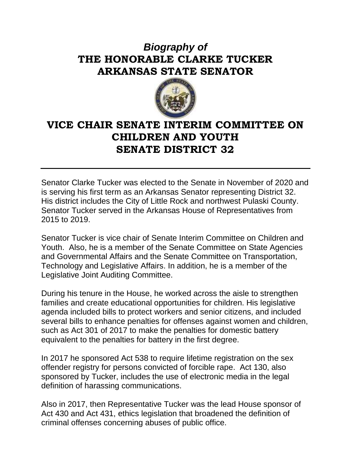## *Biography of* **THE HONORABLE CLARKE TUCKER ARKANSAS STATE SENATOR**



## **VICE CHAIR SENATE INTERIM COMMITTEE ON CHILDREN AND YOUTH SENATE DISTRICT 32**

Senator Clarke Tucker was elected to the Senate in November of 2020 and is serving his first term as an Arkansas Senator representing District 32. His district includes the City of Little Rock and northwest Pulaski County. Senator Tucker served in the Arkansas House of Representatives from 2015 to 2019.

Senator Tucker is vice chair of Senate Interim Committee on Children and Youth. Also, he is a member of the Senate Committee on State Agencies and Governmental Affairs and the Senate Committee on Transportation, Technology and Legislative Affairs. In addition, he is a member of the Legislative Joint Auditing Committee.

During his tenure in the House, he worked across the aisle to strengthen families and create educational opportunities for children. His legislative agenda included bills to protect workers and senior citizens, and included several bills to enhance penalties for offenses against women and children, such as Act 301 of 2017 to make the penalties for domestic battery equivalent to the penalties for battery in the first degree.

In 2017 he sponsored Act 538 to require lifetime registration on the sex offender registry for persons convicted of forcible rape. Act 130, also sponsored by Tucker, includes the use of electronic media in the legal definition of harassing communications.

Also in 2017, then Representative Tucker was the lead House sponsor of Act 430 and Act 431, ethics legislation that broadened the definition of criminal offenses concerning abuses of public office.